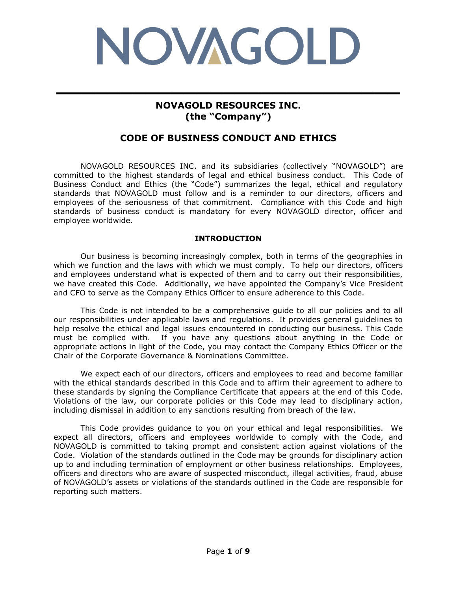

## **NOVAGOLD RESOURCES INC. (the "Company")**

**\_\_\_\_\_\_\_\_\_\_\_\_\_\_\_\_\_\_\_\_\_\_\_\_\_\_\_**

# **CODE OF BUSINESS CONDUCT AND ETHICS**

NOVAGOLD RESOURCES INC. and its subsidiaries (collectively "NOVAGOLD") are committed to the highest standards of legal and ethical business conduct. This Code of Business Conduct and Ethics (the "Code") summarizes the legal, ethical and regulatory standards that NOVAGOLD must follow and is a reminder to our directors, officers and employees of the seriousness of that commitment. Compliance with this Code and high standards of business conduct is mandatory for every NOVAGOLD director, officer and employee worldwide.

## **INTRODUCTION**

Our business is becoming increasingly complex, both in terms of the geographies in which we function and the laws with which we must comply. To help our directors, officers and employees understand what is expected of them and to carry out their responsibilities, we have created this Code. Additionally, we have appointed the Company's Vice President and CFO to serve as the Company Ethics Officer to ensure adherence to this Code.

This Code is not intended to be a comprehensive guide to all our policies and to all our responsibilities under applicable laws and regulations. It provides general guidelines to help resolve the ethical and legal issues encountered in conducting our business. This Code must be complied with. If you have any questions about anything in the Code or appropriate actions in light of the Code, you may contact the Company Ethics Officer or the Chair of the Corporate Governance & Nominations Committee.

We expect each of our directors, officers and employees to read and become familiar with the ethical standards described in this Code and to affirm their agreement to adhere to these standards by signing the Compliance Certificate that appears at the end of this Code. Violations of the law, our corporate policies or this Code may lead to disciplinary action, including dismissal in addition to any sanctions resulting from breach of the law.

This Code provides guidance to you on your ethical and legal responsibilities. We expect all directors, officers and employees worldwide to comply with the Code, and NOVAGOLD is committed to taking prompt and consistent action against violations of the Code. Violation of the standards outlined in the Code may be grounds for disciplinary action up to and including termination of employment or other business relationships. Employees, officers and directors who are aware of suspected misconduct, illegal activities, fraud, abuse of NOVAGOLD's assets or violations of the standards outlined in the Code are responsible for reporting such matters.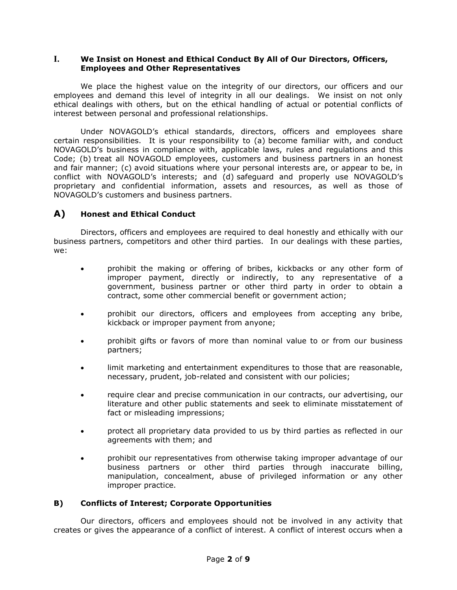## **I. We Insist on Honest and Ethical Conduct By All of Our Directors, Officers, Employees and Other Representatives**

We place the highest value on the integrity of our directors, our officers and our employees and demand this level of integrity in all our dealings. We insist on not only ethical dealings with others, but on the ethical handling of actual or potential conflicts of interest between personal and professional relationships.

Under NOVAGOLD's ethical standards, directors, officers and employees share certain responsibilities. It is your responsibility to (a) become familiar with, and conduct NOVAGOLD's business in compliance with, applicable laws, rules and regulations and this Code; (b) treat all NOVAGOLD employees, customers and business partners in an honest and fair manner; (c) avoid situations where your personal interests are, or appear to be, in conflict with NOVAGOLD's interests; and (d) safeguard and properly use NOVAGOLD's proprietary and confidential information, assets and resources, as well as those of NOVAGOLD's customers and business partners.

## **A) Honest and Ethical Conduct**

Directors, officers and employees are required to deal honestly and ethically with our business partners, competitors and other third parties. In our dealings with these parties, we:

- prohibit the making or offering of bribes, kickbacks or any other form of improper payment, directly or indirectly, to any representative of a government, business partner or other third party in order to obtain a contract, some other commercial benefit or government action;
- prohibit our directors, officers and employees from accepting any bribe, kickback or improper payment from anyone;
- prohibit gifts or favors of more than nominal value to or from our business partners;
- limit marketing and entertainment expenditures to those that are reasonable, necessary, prudent, job-related and consistent with our policies;
- require clear and precise communication in our contracts, our advertising, our literature and other public statements and seek to eliminate misstatement of fact or misleading impressions;
- protect all proprietary data provided to us by third parties as reflected in our agreements with them; and
- prohibit our representatives from otherwise taking improper advantage of our business partners or other third parties through inaccurate billing, manipulation, concealment, abuse of privileged information or any other improper practice.

## **B) Conflicts of Interest; Corporate Opportunities**

Our directors, officers and employees should not be involved in any activity that creates or gives the appearance of a conflict of interest. A conflict of interest occurs when a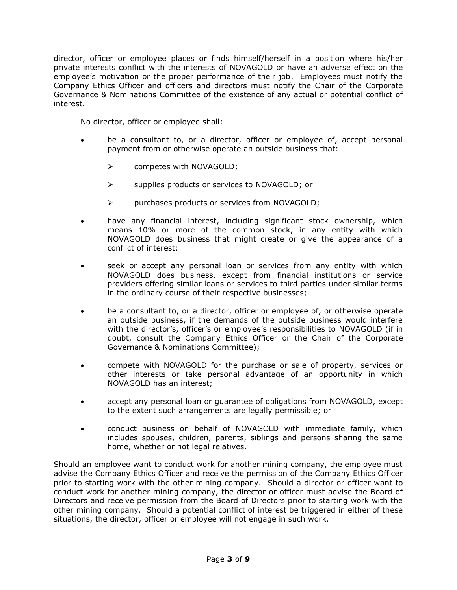director, officer or employee places or finds himself/herself in a position where his/her private interests conflict with the interests of NOVAGOLD or have an adverse effect on the employee's motivation or the proper performance of their job. Employees must notify the Company Ethics Officer and officers and directors must notify the Chair of the Corporate Governance & Nominations Committee of the existence of any actual or potential conflict of interest.

No director, officer or employee shall:

- be a consultant to, or a director, officer or employee of, accept personal payment from or otherwise operate an outside business that:
	- ➢ competes with NOVAGOLD;
	- ➢ supplies products or services to NOVAGOLD; or
	- ➢ purchases products or services from NOVAGOLD;
- have any financial interest, including significant stock ownership, which means 10% or more of the common stock, in any entity with which NOVAGOLD does business that might create or give the appearance of a conflict of interest;
- seek or accept any personal loan or services from any entity with which NOVAGOLD does business, except from financial institutions or service providers offering similar loans or services to third parties under similar terms in the ordinary course of their respective businesses;
- be a consultant to, or a director, officer or employee of, or otherwise operate an outside business, if the demands of the outside business would interfere with the director's, officer's or employee's responsibilities to NOVAGOLD (if in doubt, consult the Company Ethics Officer or the Chair of the Corporate Governance & Nominations Committee);
- compete with NOVAGOLD for the purchase or sale of property, services or other interests or take personal advantage of an opportunity in which NOVAGOLD has an interest;
- accept any personal loan or guarantee of obligations from NOVAGOLD, except to the extent such arrangements are legally permissible; or
- conduct business on behalf of NOVAGOLD with immediate family, which includes spouses, children, parents, siblings and persons sharing the same home, whether or not legal relatives.

Should an employee want to conduct work for another mining company, the employee must advise the Company Ethics Officer and receive the permission of the Company Ethics Officer prior to starting work with the other mining company. Should a director or officer want to conduct work for another mining company, the director or officer must advise the Board of Directors and receive permission from the Board of Directors prior to starting work with the other mining company. Should a potential conflict of interest be triggered in either of these situations, the director, officer or employee will not engage in such work.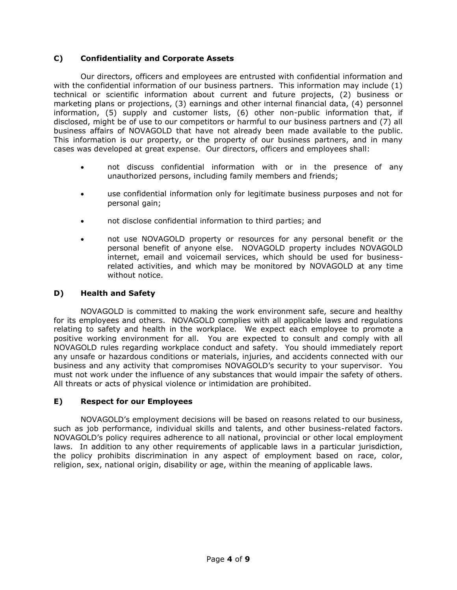## **C) Confidentiality and Corporate Assets**

Our directors, officers and employees are entrusted with confidential information and with the confidential information of our business partners. This information may include (1) technical or scientific information about current and future projects, (2) business or marketing plans or projections, (3) earnings and other internal financial data, (4) personnel information, (5) supply and customer lists, (6) other non-public information that, if disclosed, might be of use to our competitors or harmful to our business partners and (7) all business affairs of NOVAGOLD that have not already been made available to the public. This information is our property, or the property of our business partners, and in many cases was developed at great expense. Our directors, officers and employees shall:

- not discuss confidential information with or in the presence of any unauthorized persons, including family members and friends;
- use confidential information only for legitimate business purposes and not for personal gain;
- not disclose confidential information to third parties; and
- not use NOVAGOLD property or resources for any personal benefit or the personal benefit of anyone else. NOVAGOLD property includes NOVAGOLD internet, email and voicemail services, which should be used for businessrelated activities, and which may be monitored by NOVAGOLD at any time without notice.

## **D) Health and Safety**

NOVAGOLD is committed to making the work environment safe, secure and healthy for its employees and others. NOVAGOLD complies with all applicable laws and regulations relating to safety and health in the workplace. We expect each employee to promote a positive working environment for all. You are expected to consult and comply with all NOVAGOLD rules regarding workplace conduct and safety. You should immediately report any unsafe or hazardous conditions or materials, injuries, and accidents connected with our business and any activity that compromises NOVAGOLD's security to your supervisor. You must not work under the influence of any substances that would impair the safety of others. All threats or acts of physical violence or intimidation are prohibited.

## **E) Respect for our Employees**

NOVAGOLD's employment decisions will be based on reasons related to our business, such as job performance, individual skills and talents, and other business-related factors. NOVAGOLD's policy requires adherence to all national, provincial or other local employment laws. In addition to any other requirements of applicable laws in a particular jurisdiction, the policy prohibits discrimination in any aspect of employment based on race, color, religion, sex, national origin, disability or age, within the meaning of applicable laws.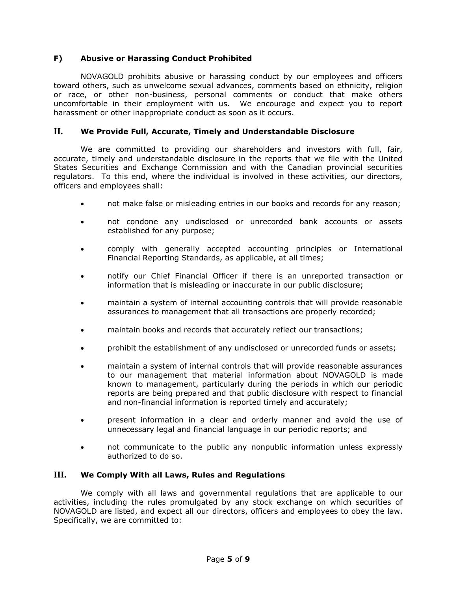## **F) Abusive or Harassing Conduct Prohibited**

NOVAGOLD prohibits abusive or harassing conduct by our employees and officers toward others, such as unwelcome sexual advances, comments based on ethnicity, religion or race, or other non-business, personal comments or conduct that make others uncomfortable in their employment with us. We encourage and expect you to report harassment or other inappropriate conduct as soon as it occurs.

## **II. We Provide Full, Accurate, Timely and Understandable Disclosure**

We are committed to providing our shareholders and investors with full, fair, accurate, timely and understandable disclosure in the reports that we file with the United States Securities and Exchange Commission and with the Canadian provincial securities regulators. To this end, where the individual is involved in these activities, our directors, officers and employees shall:

- not make false or misleading entries in our books and records for any reason;
- not condone any undisclosed or unrecorded bank accounts or assets established for any purpose;
- comply with generally accepted accounting principles or International Financial Reporting Standards, as applicable, at all times;
- notify our Chief Financial Officer if there is an unreported transaction or information that is misleading or inaccurate in our public disclosure;
- maintain a system of internal accounting controls that will provide reasonable assurances to management that all transactions are properly recorded;
- maintain books and records that accurately reflect our transactions;
- prohibit the establishment of any undisclosed or unrecorded funds or assets;
- maintain a system of internal controls that will provide reasonable assurances to our management that material information about NOVAGOLD is made known to management, particularly during the periods in which our periodic reports are being prepared and that public disclosure with respect to financial and non-financial information is reported timely and accurately;
- present information in a clear and orderly manner and avoid the use of unnecessary legal and financial language in our periodic reports; and
- not communicate to the public any nonpublic information unless expressly authorized to do so.

## **III. We Comply With all Laws, Rules and Regulations**

We comply with all laws and governmental regulations that are applicable to our activities, including the rules promulgated by any stock exchange on which securities of NOVAGOLD are listed, and expect all our directors, officers and employees to obey the law. Specifically, we are committed to: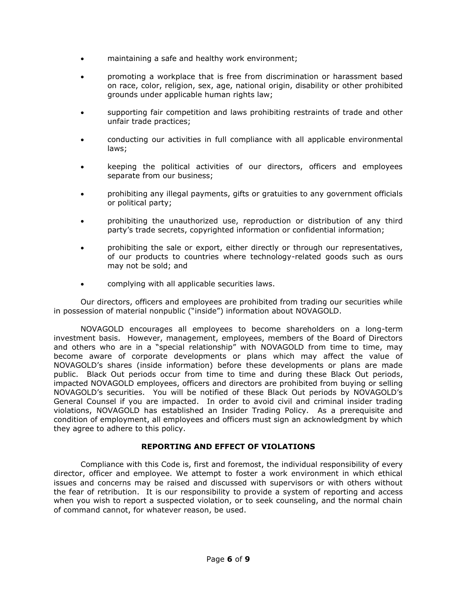- maintaining a safe and healthy work environment;
- promoting a workplace that is free from discrimination or harassment based on race, color, religion, sex, age, national origin, disability or other prohibited grounds under applicable human rights law;
- supporting fair competition and laws prohibiting restraints of trade and other unfair trade practices;
- conducting our activities in full compliance with all applicable environmental laws;
- keeping the political activities of our directors, officers and employees separate from our business;
- prohibiting any illegal payments, gifts or gratuities to any government officials or political party;
- prohibiting the unauthorized use, reproduction or distribution of any third party's trade secrets, copyrighted information or confidential information;
- prohibiting the sale or export, either directly or through our representatives, of our products to countries where technology-related goods such as ours may not be sold; and
- complying with all applicable securities laws.

Our directors, officers and employees are prohibited from trading our securities while in possession of material nonpublic ("inside") information about NOVAGOLD.

NOVAGOLD encourages all employees to become shareholders on a long-term investment basis. However, management, employees, members of the Board of Directors and others who are in a "special relationship" with NOVAGOLD from time to time, may become aware of corporate developments or plans which may affect the value of NOVAGOLD's shares (inside information) before these developments or plans are made public. Black Out periods occur from time to time and during these Black Out periods, impacted NOVAGOLD employees, officers and directors are prohibited from buying or selling NOVAGOLD's securities. You will be notified of these Black Out periods by NOVAGOLD's General Counsel if you are impacted. In order to avoid civil and criminal insider trading violations, NOVAGOLD has established an Insider Trading Policy. As a prerequisite and condition of employment, all employees and officers must sign an acknowledgment by which they agree to adhere to this policy.

## **REPORTING AND EFFECT OF VIOLATIONS**

Compliance with this Code is, first and foremost, the individual responsibility of every director, officer and employee. We attempt to foster a work environment in which ethical issues and concerns may be raised and discussed with supervisors or with others without the fear of retribution. It is our responsibility to provide a system of reporting and access when you wish to report a suspected violation, or to seek counseling, and the normal chain of command cannot, for whatever reason, be used.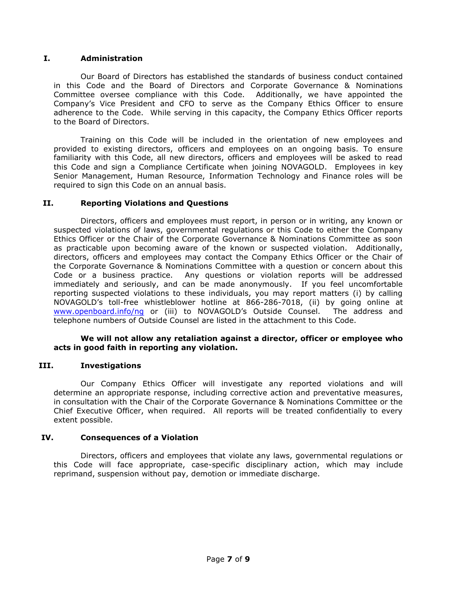## **I. Administration**

Our Board of Directors has established the standards of business conduct contained in this Code and the Board of Directors and Corporate Governance & Nominations Committee oversee compliance with this Code. Additionally, we have appointed the Company's Vice President and CFO to serve as the Company Ethics Officer to ensure adherence to the Code. While serving in this capacity, the Company Ethics Officer reports to the Board of Directors.

Training on this Code will be included in the orientation of new employees and provided to existing directors, officers and employees on an ongoing basis. To ensure familiarity with this Code, all new directors, officers and employees will be asked to read this Code and sign a Compliance Certificate when joining NOVAGOLD. Employees in key Senior Management, Human Resource, Information Technology and Finance roles will be required to sign this Code on an annual basis.

## **II. Reporting Violations and Questions**

Directors, officers and employees must report, in person or in writing, any known or suspected violations of laws, governmental regulations or this Code to either the Company Ethics Officer or the Chair of the Corporate Governance & Nominations Committee as soon as practicable upon becoming aware of the known or suspected violation. Additionally, directors, officers and employees may contact the Company Ethics Officer or the Chair of the Corporate Governance & Nominations Committee with a question or concern about this Code or a business practice. Any questions or violation reports will be addressed immediately and seriously, and can be made anonymously. If you feel uncomfortable reporting suspected violations to these individuals, you may report matters (i) by calling NOVAGOLD's toll-free whistleblower hotline at 866-286-7018, (ii) by going online at [www.openboard.info/ng](http://www.openboard.info/ng) or (iii) to NOVAGOLD's Outside Counsel. The address and telephone numbers of Outside Counsel are listed in the attachment to this Code.

## **We will not allow any retaliation against a director, officer or employee who acts in good faith in reporting any violation.**

## **III. Investigations**

Our Company Ethics Officer will investigate any reported violations and will determine an appropriate response, including corrective action and preventative measures, in consultation with the Chair of the Corporate Governance & Nominations Committee or the Chief Executive Officer, when required. All reports will be treated confidentially to every extent possible.

## **IV. Consequences of a Violation**

Directors, officers and employees that violate any laws, governmental regulations or this Code will face appropriate, case-specific disciplinary action, which may include reprimand, suspension without pay, demotion or immediate discharge.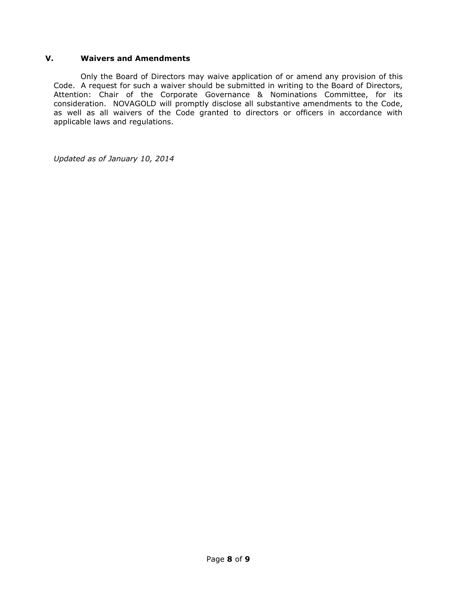## **V. Waivers and Amendments**

Only the Board of Directors may waive application of or amend any provision of this Code. A request for such a waiver should be submitted in writing to the Board of Directors, Attention: Chair of the Corporate Governance & Nominations Committee, for its consideration. NOVAGOLD will promptly disclose all substantive amendments to the Code, as well as all waivers of the Code granted to directors or officers in accordance with applicable laws and regulations.

*Updated as of January 10, 2014*